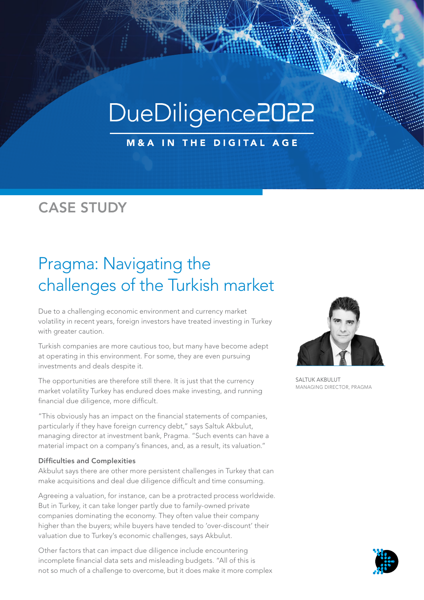# DueDiligence2022

**M&A IN THE DIGITAL AGE** 

### CASE STUDY

## Pragma: Navigating the challenges of the Turkish market

Due to a challenging economic environment and currency market volatility in recent years, foreign investors have treated investing in Turkey with greater caution.

Turkish companies are more cautious too, but many have become adept at operating in this environment. For some, they are even pursuing investments and deals despite it.

The opportunities are therefore still there. It is just that the currency market volatility Turkey has endured does make investing, and running financial due diligence, more difficult.

"This obviously has an impact on the financial statements of companies, particularly if they have foreign currency debt," says Saltuk Akbulut, managing director at investment bank, Pragma. "Such events can have a material impact on a company's finances, and, as a result, its valuation."

#### Difficulties and Complexities

Akbulut says there are other more persistent challenges in Turkey that can make acquisitions and deal due diligence difficult and time consuming.

Agreeing a valuation, for instance, can be a protracted process worldwide. But in Turkey, it can take longer partly due to family-owned private companies dominating the economy. They often value their company higher than the buyers; while buyers have tended to 'over-discount' their valuation due to Turkey's economic challenges, says Akbulut.

Other factors that can impact due diligence include encountering incomplete financial data sets and misleading budgets. "All of this is not so much of a challenge to overcome, but it does make it more complex



SALTUK AKBULUT MANAGING DIRECTOR, PRAGMA